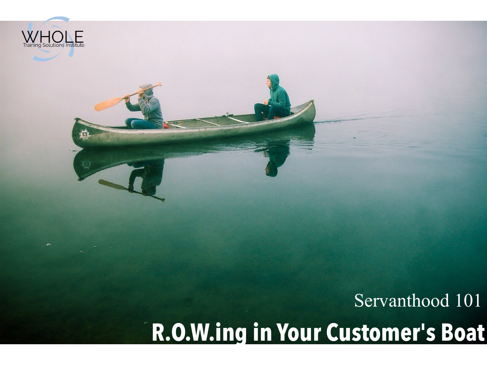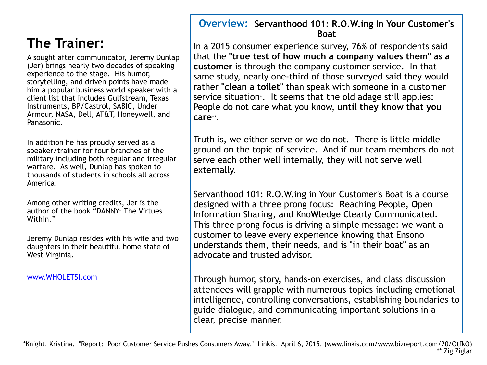### **The Trainer:**

A sought after communicator, Jeremy Dunlap (Jer) brings nearly two decades of speaking experience to the stage. His humor, storytelling, and driven points have made him a popular business world speaker with a client list that includes Gulfstream, Texas Instruments, BP/Castrol, SABIC, Under Armour, NASA, Dell, AT&T, Honeywell, and Panasonic.

In addition he has proudly served as a speaker/trainer for four branches of the military including both regular and irregular warfare. As well, Dunlap has spoken to thousands of students in schools all across America.

Among other writing credits, Jer is the author of the book "DANNY: The Virtues Within."

Jeremy Dunlap resides with his wife and two daughters in their beautiful home state of West Virginia.

[www.WHOLETSI.com](http://www.WHOLETSI.com)

#### **Overview: Servanthood 101: R.O.W.ing In Your Customer's Boat**

In a 2015 consumer experience survey, 76% of respondents said that the **"true test of how much a company values them" as a customer** is through the company customer service. In that same study, nearly one-third of those surveyed said they would rather **"clean a toilet"** than speak with someone in a customer service situation\*. It seems that the old adage still applies: People do not care what you know, **until they know that you care**\*\*.

Truth is, we either serve or we do not. There is little middle ground on the topic of service. And if our team members do not serve each other well internally, they will not serve well externally.

Servanthood 101: R.O.W.ing in Your Customer's Boat is a course designed with a three prong focus: **R**eaching People, **O**pen Information Sharing, and Kno**W**ledge Clearly Communicated. This three prong focus is driving a simple message: we want a customer to leave every experience knowing that Ensono understands them, their needs, and is "in their boat" as an advocate and trusted advisor.

Through humor, story, hands-on exercises, and class discussion attendees will grapple with numerous topics including emotional intelligence, controlling conversations, establishing boundaries to guide dialogue, and communicating important solutions in a clear, precise manner.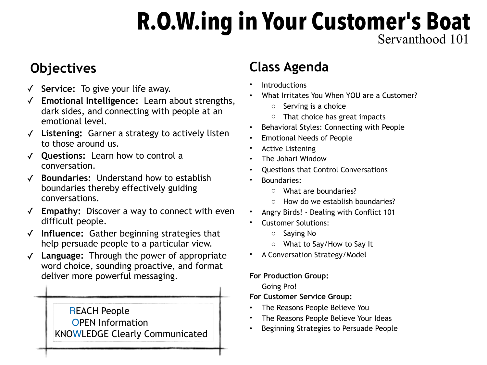## Servanthood 101 **R.O.W.ing in Your Customer's Boat**

## **Objectives**

- ✓ **Service:** To give your life away.
- ✓ **Emotional Intelligence:** Learn about strengths, dark sides, and connecting with people at an emotional level.
- ✓ **Listening:** Garner a strategy to actively listen to those around us.
- ✓ **Questions:** Learn how to control a conversation.
- ✓ **Boundaries:** Understand how to establish boundaries thereby effectively guiding conversations.
- ✓ **Empathy:** Discover a way to connect with even difficult people.
- ✓ **Influence:** Gather beginning strategies that help persuade people to a particular view.
- ✓ **Language:** Through the power of appropriate word choice, sounding proactive, and format deliver more powerful messaging.

#### REACH People OPEN Information KNOWLEDGE Clearly Communicated

## **Class Agenda**

- **Introductions**
- What Irritates You When YOU are a Customer?
	- o Serving is a choice
	- $\circ$  That choice has great impacts
- Behavioral Styles: Connecting with People
- Emotional Needs of People
- **Active Listening**
- The Johari Window
- Questions that Control Conversations
- Boundaries:
	- o What are boundaries?
	- o How do we establish boundaries?
- Angry Birds! Dealing with Conflict 101
- Customer Solutions:
	- o Saying No
	- o What to Say/How to Say It
- A Conversation Strategy/Model

#### **For Production Group:**

Going Pro!

**For Customer Service Group:** 

- The Reasons People Believe You
- The Reasons People Believe Your Ideas
- Beginning Strategies to Persuade People